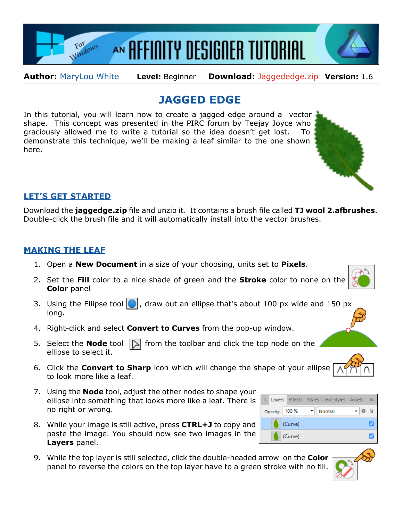

**Author:** [MaryLou White](mailto:mlwhite@pircnet.com) **Level:** Beginner **Download:** [Jaggededge.zip](http://pircnet.com/tutorials/jaggededge/jaggededge.zip) **Version:** 1.6

## **JAGGED EDGE**

In this tutorial, you will learn how to create a jagged edge around a vector shape. This concept was presented in the PIRC forum by Teejay Joyce who graciously allowed me to write a tutorial so the idea doesn't get lost. To demonstrate this technique, we'll be making a leaf similar to the one shown here.



## **LET'S GET STARTED**

Download the **jaggedge.zip** file and unzip it. It contains a brush file called **TJ wool 2.afbrushes**. Double-click the brush file and it will automatically install into the vector brushes.

## **MAKING THE LEAF**

- 1. Open a **New Document** in a size of your choosing, units set to **Pixels**.
- 2. Set the **Fill** color to a nice shade of green and the **Stroke** color to none on the **Color** panel
- 3. Using the Ellipse tool  $\Box$ , draw out an ellipse that's about 100 px wide and 150 px long.
- 4. Right-click and select **Convert to Curves** from the pop-up window.
- 5. Select the **Node** tool  $\Box$  from the toolbar and click the top node on the ellipse to select it.
- 6. Click the **Convert to Sharp** icon which will change the shape of your ellipse to look more like a leaf.
- 7. Using the **Node** tool, adjust the other nodes to shape your ellipse into something that looks more like a leaf. There is no right or wrong.
- 8. While your image is still active, press **CTRL+J** to copy and paste the image. You should now see two images in the **Layers** panel.
- 9. While the top layer is still selected, click the double-headed arrow on the **Color** panel to reverse the colors on the top layer have to a green stroke with no fill.